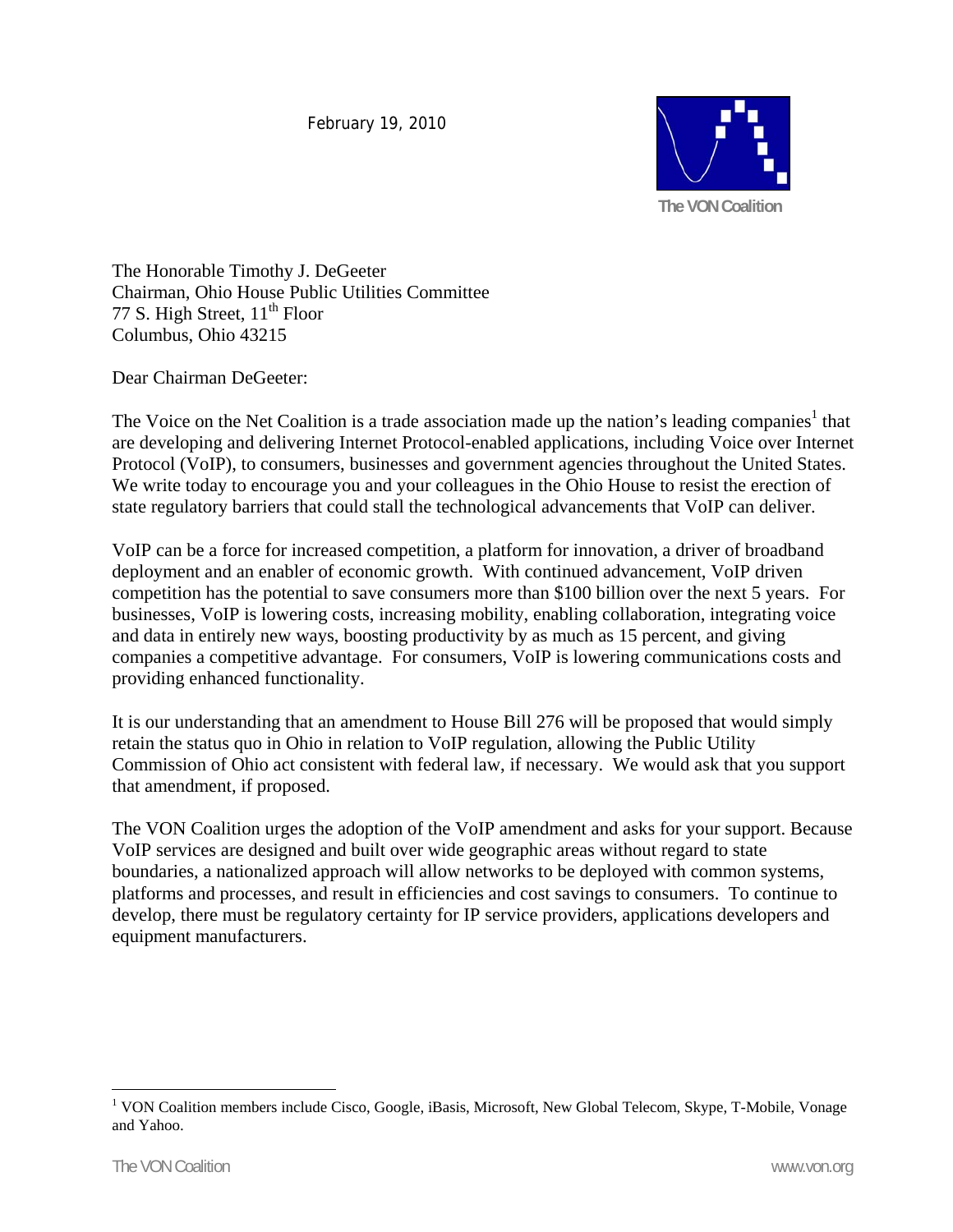February 19, 2010



The Honorable Timothy J. DeGeeter Chairman, Ohio House Public Utilities Committee 77 S. High Street,  $11<sup>th</sup>$  Floor Columbus, Ohio 43215

Dear Chairman DeGeeter:

The Voice on the Net Coalition is a trade association made up the nation's leading companies<sup>1</sup> that are developing and delivering Internet Protocol-enabled applications, including Voice over Internet Protocol (VoIP), to consumers, businesses and government agencies throughout the United States. We write today to encourage you and your colleagues in the Ohio House to resist the erection of state regulatory barriers that could stall the technological advancements that VoIP can deliver.

VoIP can be a force for increased competition, a platform for innovation, a driver of broadband deployment and an enabler of economic growth. With continued advancement, VoIP driven competition has the potential to save consumers more than \$100 billion over the next 5 years. For businesses, VoIP is lowering costs, increasing mobility, enabling collaboration, integrating voice and data in entirely new ways, boosting productivity by as much as 15 percent, and giving companies a competitive advantage. For consumers, VoIP is lowering communications costs and providing enhanced functionality.

It is our understanding that an amendment to House Bill 276 will be proposed that would simply retain the status quo in Ohio in relation to VoIP regulation, allowing the Public Utility Commission of Ohio act consistent with federal law, if necessary. We would ask that you support that amendment, if proposed.

The VON Coalition urges the adoption of the VoIP amendment and asks for your support. Because VoIP services are designed and built over wide geographic areas without regard to state boundaries, a nationalized approach will allow networks to be deployed with common systems, platforms and processes, and result in efficiencies and cost savings to consumers. To continue to develop, there must be regulatory certainty for IP service providers, applications developers and equipment manufacturers.

 $\overline{a}$ 

<sup>&</sup>lt;sup>1</sup> VON Coalition members include Cisco, Google, iBasis, Microsoft, New Global Telecom, Skype, T-Mobile, Vonage and Yahoo.